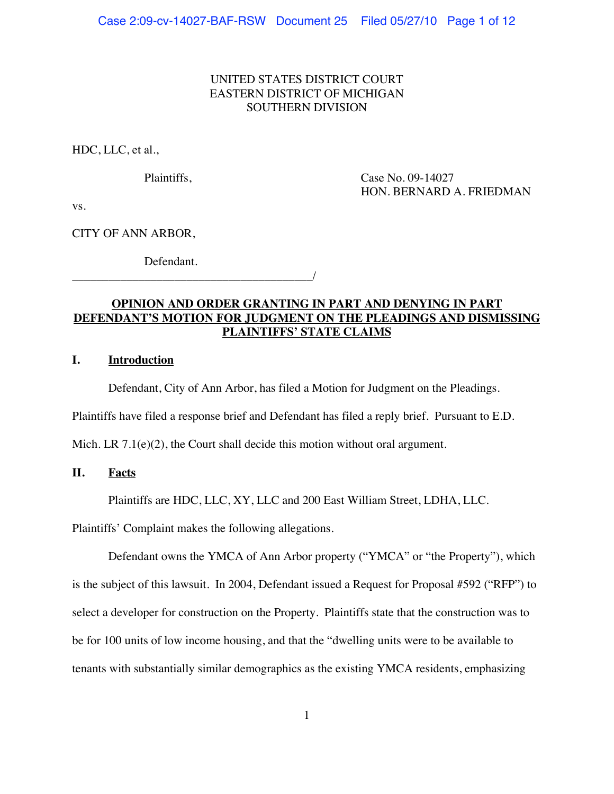# UNITED STATES DISTRICT COURT EASTERN DISTRICT OF MICHIGAN SOUTHERN DIVISION

HDC, LLC, et al.,

Plaintiffs, Case No. 09-14027 HON. BERNARD A. FRIEDMAN

vs.

CITY OF ANN ARBOR,

Defendant.

\_\_\_\_\_\_\_\_\_\_\_\_\_\_\_\_\_\_\_\_\_\_\_\_\_\_\_\_\_\_\_\_\_\_\_\_\_\_\_\_/

# **OPINION AND ORDER GRANTING IN PART AND DENYING IN PART DEFENDANT'S MOTION FOR JUDGMENT ON THE PLEADINGS AND DISMISSING PLAINTIFFS' STATE CLAIMS**

# **I. Introduction**

Defendant, City of Ann Arbor, has filed a Motion for Judgment on the Pleadings.

Plaintiffs have filed a response brief and Defendant has filed a reply brief. Pursuant to E.D.

Mich. LR  $7.1(e)(2)$ , the Court shall decide this motion without oral argument.

## **II. Facts**

Plaintiffs are HDC, LLC, XY, LLC and 200 East William Street, LDHA, LLC.

Plaintiffs' Complaint makes the following allegations.

Defendant owns the YMCA of Ann Arbor property ("YMCA" or "the Property"), which is the subject of this lawsuit. In 2004, Defendant issued a Request for Proposal #592 ("RFP") to select a developer for construction on the Property. Plaintiffs state that the construction was to be for 100 units of low income housing, and that the "dwelling units were to be available to tenants with substantially similar demographics as the existing YMCA residents, emphasizing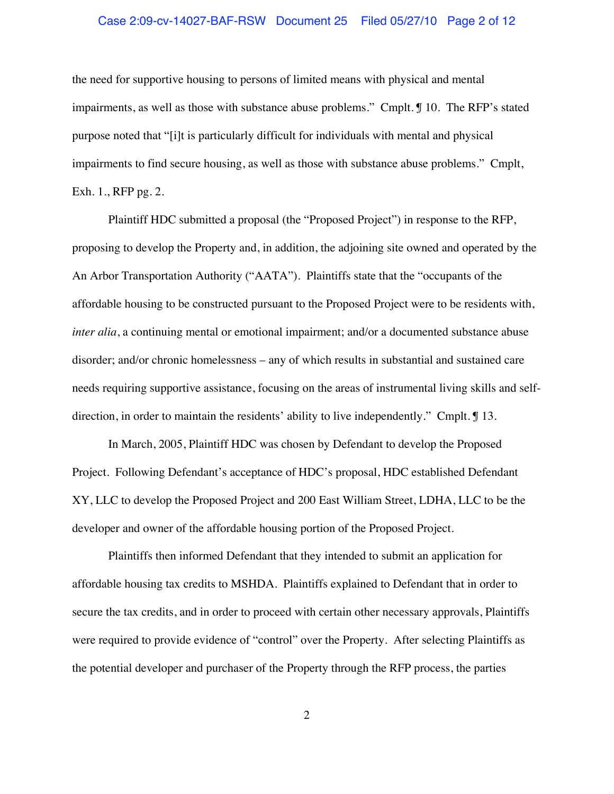### Case 2:09-cv-14027-BAF-RSW Document 25 Filed 05/27/10 Page 2 of 12

the need for supportive housing to persons of limited means with physical and mental impairments, as well as those with substance abuse problems." Cmplt. ¶ 10. The RFP's stated purpose noted that "[i]t is particularly difficult for individuals with mental and physical impairments to find secure housing, as well as those with substance abuse problems." Cmplt, Exh. 1., RFP pg. 2.

Plaintiff HDC submitted a proposal (the "Proposed Project") in response to the RFP, proposing to develop the Property and, in addition, the adjoining site owned and operated by the An Arbor Transportation Authority ("AATA"). Plaintiffs state that the "occupants of the affordable housing to be constructed pursuant to the Proposed Project were to be residents with, *inter alia*, a continuing mental or emotional impairment; and/or a documented substance abuse disorder; and/or chronic homelessness – any of which results in substantial and sustained care needs requiring supportive assistance, focusing on the areas of instrumental living skills and selfdirection, in order to maintain the residents' ability to live independently." Cmplt. ¶ 13.

In March, 2005, Plaintiff HDC was chosen by Defendant to develop the Proposed Project. Following Defendant's acceptance of HDC's proposal, HDC established Defendant XY, LLC to develop the Proposed Project and 200 East William Street, LDHA, LLC to be the developer and owner of the affordable housing portion of the Proposed Project.

Plaintiffs then informed Defendant that they intended to submit an application for affordable housing tax credits to MSHDA. Plaintiffs explained to Defendant that in order to secure the tax credits, and in order to proceed with certain other necessary approvals, Plaintiffs were required to provide evidence of "control" over the Property. After selecting Plaintiffs as the potential developer and purchaser of the Property through the RFP process, the parties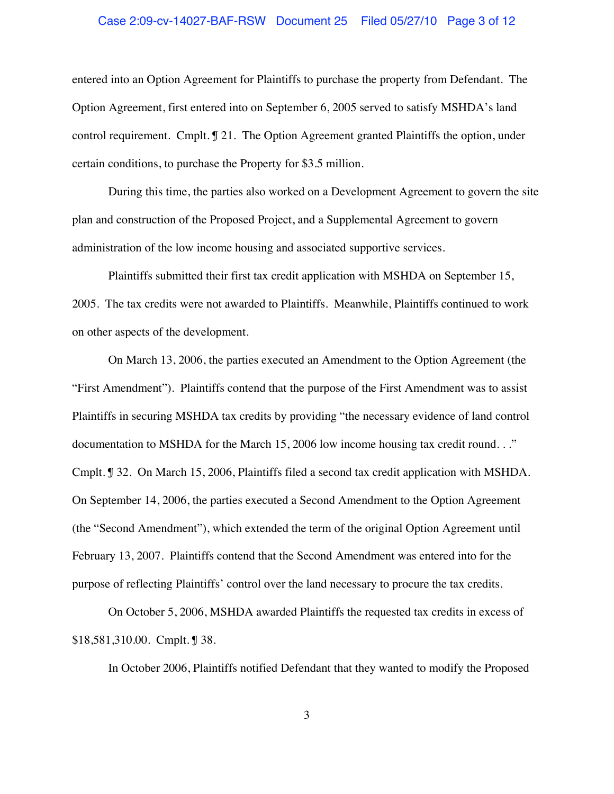### Case 2:09-cv-14027-BAF-RSW Document 25 Filed 05/27/10 Page 3 of 12

entered into an Option Agreement for Plaintiffs to purchase the property from Defendant. The Option Agreement, first entered into on September 6, 2005 served to satisfy MSHDA's land control requirement. Cmplt. ¶ 21. The Option Agreement granted Plaintiffs the option, under certain conditions, to purchase the Property for \$3.5 million.

During this time, the parties also worked on a Development Agreement to govern the site plan and construction of the Proposed Project, and a Supplemental Agreement to govern administration of the low income housing and associated supportive services.

Plaintiffs submitted their first tax credit application with MSHDA on September 15, 2005. The tax credits were not awarded to Plaintiffs. Meanwhile, Plaintiffs continued to work on other aspects of the development.

On March 13, 2006, the parties executed an Amendment to the Option Agreement (the "First Amendment"). Plaintiffs contend that the purpose of the First Amendment was to assist Plaintiffs in securing MSHDA tax credits by providing "the necessary evidence of land control documentation to MSHDA for the March 15, 2006 low income housing tax credit round. . ." Cmplt. ¶ 32. On March 15, 2006, Plaintiffs filed a second tax credit application with MSHDA. On September 14, 2006, the parties executed a Second Amendment to the Option Agreement (the "Second Amendment"), which extended the term of the original Option Agreement until February 13, 2007. Plaintiffs contend that the Second Amendment was entered into for the purpose of reflecting Plaintiffs' control over the land necessary to procure the tax credits.

On October 5, 2006, MSHDA awarded Plaintiffs the requested tax credits in excess of \$18,581,310.00. Cmplt. ¶ 38.

In October 2006, Plaintiffs notified Defendant that they wanted to modify the Proposed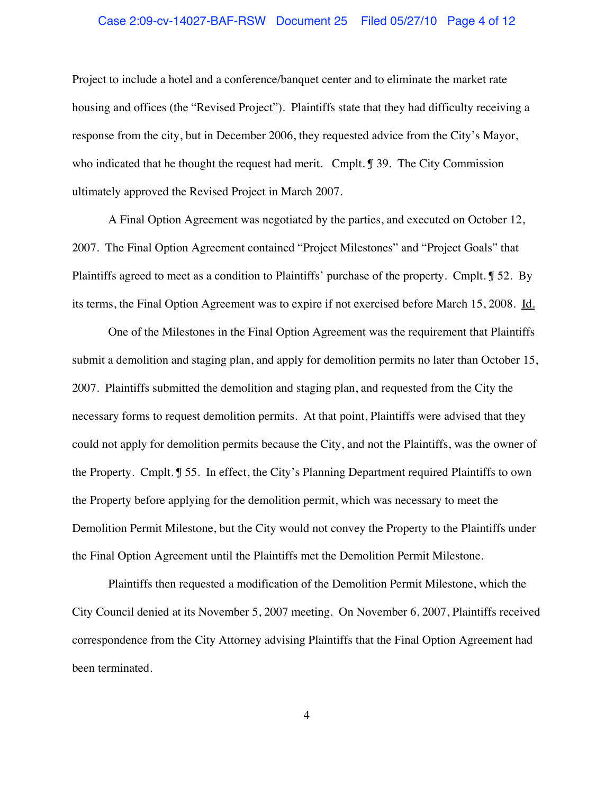### Case 2:09-cv-14027-BAF-RSW Document 25 Filed 05/27/10 Page 4 of 12

Project to include a hotel and a conference/banquet center and to eliminate the market rate housing and offices (the "Revised Project"). Plaintiffs state that they had difficulty receiving a response from the city, but in December 2006, they requested advice from the City's Mayor, who indicated that he thought the request had merit. Cmplt. ¶ 39. The City Commission ultimately approved the Revised Project in March 2007.

A Final Option Agreement was negotiated by the parties, and executed on October 12, 2007. The Final Option Agreement contained "Project Milestones" and "Project Goals" that Plaintiffs agreed to meet as a condition to Plaintiffs' purchase of the property. Cmplt. ¶ 52. By its terms, the Final Option Agreement was to expire if not exercised before March 15, 2008. Id.

One of the Milestones in the Final Option Agreement was the requirement that Plaintiffs submit a demolition and staging plan, and apply for demolition permits no later than October 15, 2007. Plaintiffs submitted the demolition and staging plan, and requested from the City the necessary forms to request demolition permits. At that point, Plaintiffs were advised that they could not apply for demolition permits because the City, and not the Plaintiffs, was the owner of the Property. Cmplt. ¶ 55. In effect, the City's Planning Department required Plaintiffs to own the Property before applying for the demolition permit, which was necessary to meet the Demolition Permit Milestone, but the City would not convey the Property to the Plaintiffs under the Final Option Agreement until the Plaintiffs met the Demolition Permit Milestone.

Plaintiffs then requested a modification of the Demolition Permit Milestone, which the City Council denied at its November 5, 2007 meeting. On November 6, 2007, Plaintiffs received correspondence from the City Attorney advising Plaintiffs that the Final Option Agreement had been terminated.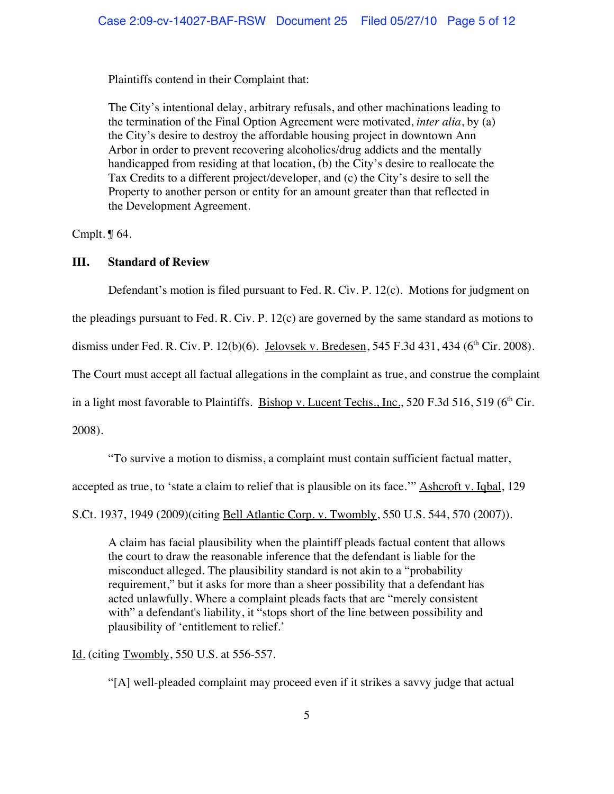Plaintiffs contend in their Complaint that:

The City's intentional delay, arbitrary refusals, and other machinations leading to the termination of the Final Option Agreement were motivated, *inter alia*, by (a) the City's desire to destroy the affordable housing project in downtown Ann Arbor in order to prevent recovering alcoholics/drug addicts and the mentally handicapped from residing at that location, (b) the City's desire to reallocate the Tax Credits to a different project/developer, and (c) the City's desire to sell the Property to another person or entity for an amount greater than that reflected in the Development Agreement.

Cmplt. ¶ 64.

## **III. Standard of Review**

Defendant's motion is filed pursuant to Fed. R. Civ. P. 12(c). Motions for judgment on

the pleadings pursuant to Fed. R. Civ. P. 12(c) are governed by the same standard as motions to

dismiss under Fed. R. Civ. P. 12(b)(6). Jelovsek v. Bredesen, 545 F.3d 431, 434 (6<sup>th</sup> Cir. 2008).

The Court must accept all factual allegations in the complaint as true, and construe the complaint

in a light most favorable to Plaintiffs. Bishop v. Lucent Techs., Inc., 520 F.3d 516, 519 ( $6<sup>th</sup>$  Cir.

2008).

"To survive a motion to dismiss, a complaint must contain sufficient factual matter,

accepted as true, to 'state a claim to relief that is plausible on its face.'" Ashcroft v. Iqbal, 129

S.Ct. 1937, 1949 (2009)(citing Bell Atlantic Corp. v. Twombly, 550 U.S. 544, 570 (2007)).

A claim has facial plausibility when the plaintiff pleads factual content that allows the court to draw the reasonable inference that the defendant is liable for the misconduct alleged. The plausibility standard is not akin to a "probability requirement," but it asks for more than a sheer possibility that a defendant has acted unlawfully. Where a complaint pleads facts that are "merely consistent with" a defendant's liability, it "stops short of the line between possibility and plausibility of 'entitlement to relief.'

Id. (citing Twombly, 550 U.S. at 556-557.

"[A] well-pleaded complaint may proceed even if it strikes a savvy judge that actual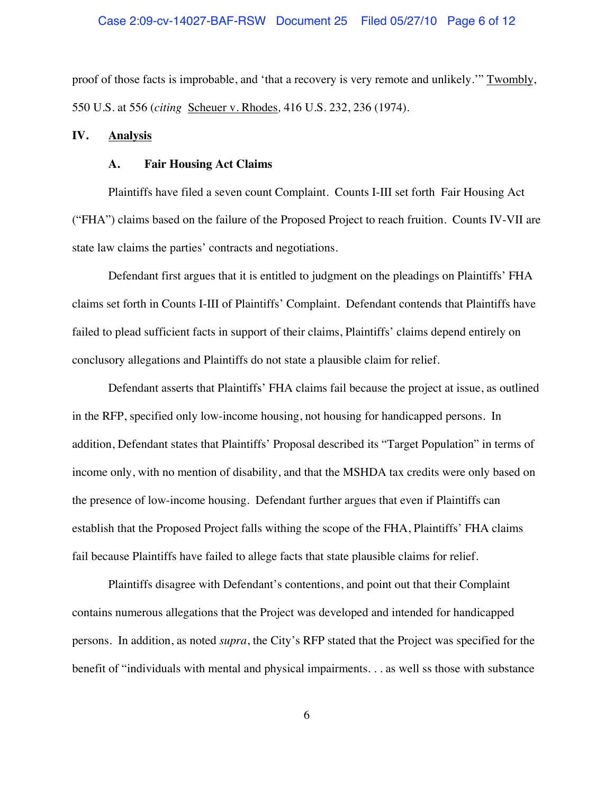### Case 2:09-cv-14027-BAF-RSW Document 25 Filed 05/27/10 Page 6 of 12

proof of those facts is improbable, and 'that a recovery is very remote and unlikely.'" Twombly, 550 U.S. at 556 (*citing* Scheuer v. Rhodes*,* 416 U.S. 232, 236 (1974).

#### **IV. Analysis**

#### **A. Fair Housing Act Claims**

Plaintiffs have filed a seven count Complaint. Counts I-III set forth Fair Housing Act ("FHA") claims based on the failure of the Proposed Project to reach fruition. Counts IV-VII are state law claims the parties' contracts and negotiations.

Defendant first argues that it is entitled to judgment on the pleadings on Plaintiffs' FHA claims set forth in Counts I-III of Plaintiffs' Complaint. Defendant contends that Plaintiffs have failed to plead sufficient facts in support of their claims, Plaintiffs' claims depend entirely on conclusory allegations and Plaintiffs do not state a plausible claim for relief.

Defendant asserts that Plaintiffs' FHA claims fail because the project at issue, as outlined in the RFP, specified only low-income housing, not housing for handicapped persons. In addition, Defendant states that Plaintiffs' Proposal described its "Target Population" in terms of income only, with no mention of disability, and that the MSHDA tax credits were only based on the presence of low-income housing. Defendant further argues that even if Plaintiffs can establish that the Proposed Project falls withing the scope of the FHA, Plaintiffs' FHA claims fail because Plaintiffs have failed to allege facts that state plausible claims for relief.

Plaintiffs disagree with Defendant's contentions, and point out that their Complaint contains numerous allegations that the Project was developed and intended for handicapped persons. In addition, as noted *supra*, the City's RFP stated that the Project was specified for the benefit of "individuals with mental and physical impairments. . . as well ss those with substance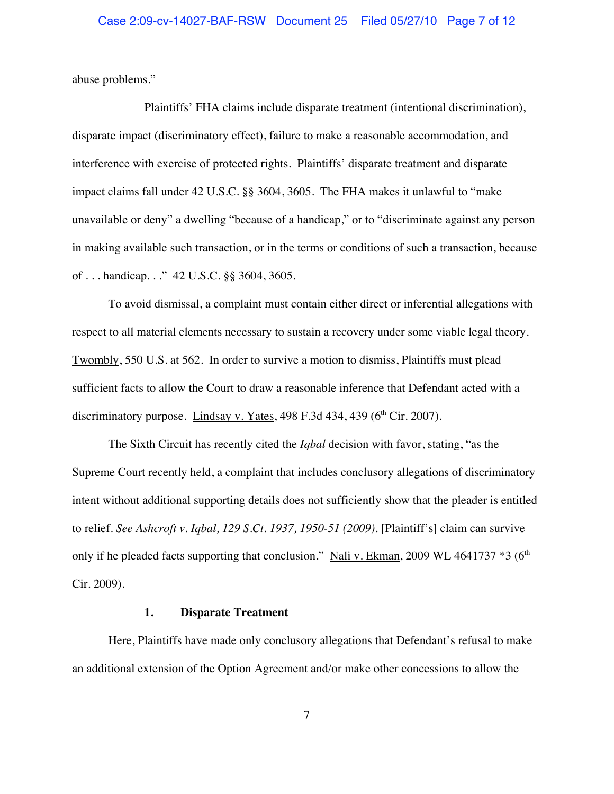### Case 2:09-cv-14027-BAF-RSW Document 25 Filed 05/27/10 Page 7 of 12

abuse problems."

Plaintiffs' FHA claims include disparate treatment (intentional discrimination), disparate impact (discriminatory effect), failure to make a reasonable accommodation, and interference with exercise of protected rights. Plaintiffs' disparate treatment and disparate impact claims fall under 42 U.S.C. §§ 3604, 3605. The FHA makes it unlawful to "make unavailable or deny" a dwelling "because of a handicap," or to "discriminate against any person in making available such transaction, or in the terms or conditions of such a transaction, because of . . . handicap. . ." 42 U.S.C. §§ 3604, 3605.

To avoid dismissal, a complaint must contain either direct or inferential allegations with respect to all material elements necessary to sustain a recovery under some viable legal theory. Twombly, 550 U.S. at 562. In order to survive a motion to dismiss, Plaintiffs must plead sufficient facts to allow the Court to draw a reasonable inference that Defendant acted with a discriminatory purpose. Lindsay v. Yates,  $498$  F.3d  $434$ ,  $439$  ( $6<sup>th</sup>$  Cir. 2007).

The Sixth Circuit has recently cited the *Iqbal* decision with favor, stating, "as the Supreme Court recently held, a complaint that includes conclusory allegations of discriminatory intent without additional supporting details does not sufficiently show that the pleader is entitled to relief. *See Ashcroft v. Iqbal, 129 S.Ct. 1937, 1950-51 (2009).* [Plaintiff's] claim can survive only if he pleaded facts supporting that conclusion." Nali v. Ekman, 2009 WL 4641737  $*3$  (6<sup>th</sup> Cir. 2009).

## **1. Disparate Treatment**

Here, Plaintiffs have made only conclusory allegations that Defendant's refusal to make an additional extension of the Option Agreement and/or make other concessions to allow the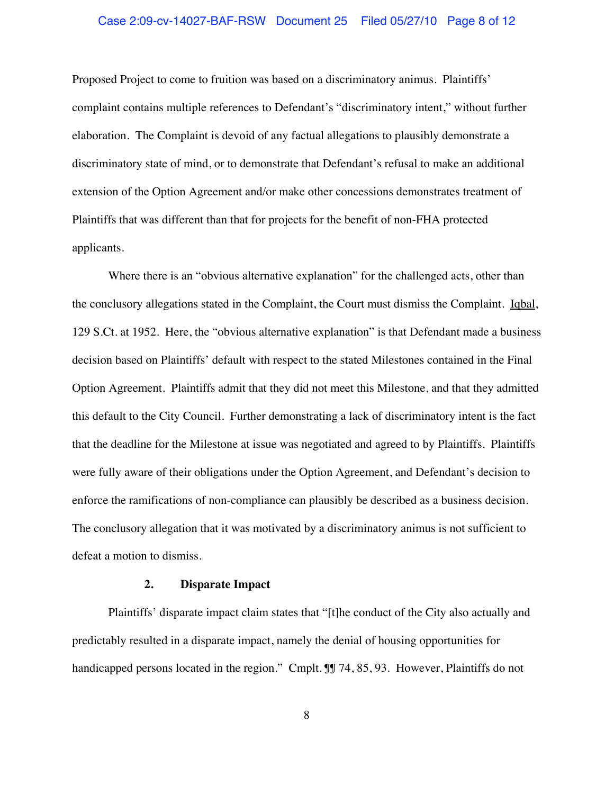### Case 2:09-cv-14027-BAF-RSW Document 25 Filed 05/27/10 Page 8 of 12

Proposed Project to come to fruition was based on a discriminatory animus. Plaintiffs' complaint contains multiple references to Defendant's "discriminatory intent," without further elaboration. The Complaint is devoid of any factual allegations to plausibly demonstrate a discriminatory state of mind, or to demonstrate that Defendant's refusal to make an additional extension of the Option Agreement and/or make other concessions demonstrates treatment of Plaintiffs that was different than that for projects for the benefit of non-FHA protected applicants.

Where there is an "obvious alternative explanation" for the challenged acts, other than the conclusory allegations stated in the Complaint, the Court must dismiss the Complaint. Iqbal, 129 S.Ct. at 1952. Here, the "obvious alternative explanation" is that Defendant made a business decision based on Plaintiffs' default with respect to the stated Milestones contained in the Final Option Agreement. Plaintiffs admit that they did not meet this Milestone, and that they admitted this default to the City Council. Further demonstrating a lack of discriminatory intent is the fact that the deadline for the Milestone at issue was negotiated and agreed to by Plaintiffs. Plaintiffs were fully aware of their obligations under the Option Agreement, and Defendant's decision to enforce the ramifications of non-compliance can plausibly be described as a business decision. The conclusory allegation that it was motivated by a discriminatory animus is not sufficient to defeat a motion to dismiss.

#### **2. Disparate Impact**

Plaintiffs' disparate impact claim states that "[t]he conduct of the City also actually and predictably resulted in a disparate impact, namely the denial of housing opportunities for handicapped persons located in the region." Cmplt. IJ 74, 85, 93. However, Plaintiffs do not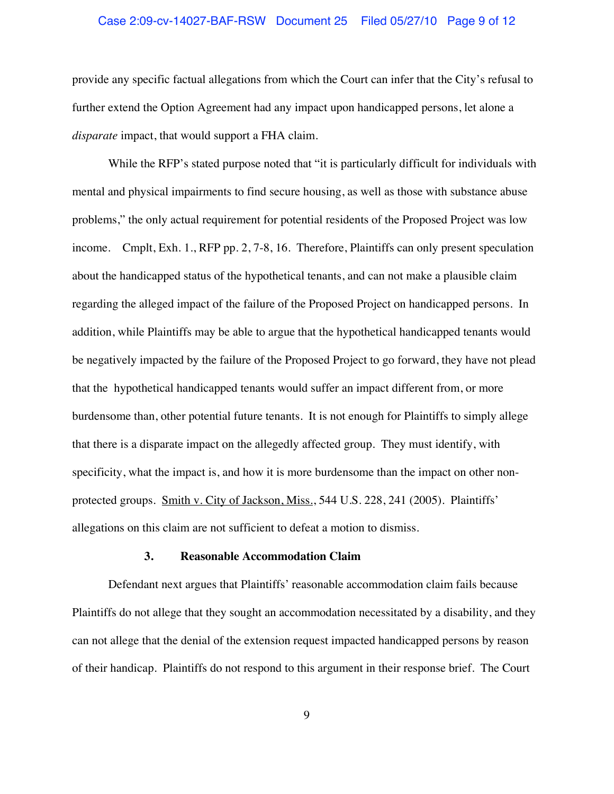### Case 2:09-cv-14027-BAF-RSW Document 25 Filed 05/27/10 Page 9 of 12

provide any specific factual allegations from which the Court can infer that the City's refusal to further extend the Option Agreement had any impact upon handicapped persons, let alone a *disparate* impact, that would support a FHA claim.

While the RFP's stated purpose noted that "it is particularly difficult for individuals with mental and physical impairments to find secure housing, as well as those with substance abuse problems," the only actual requirement for potential residents of the Proposed Project was low income. Cmplt, Exh. 1., RFP pp. 2, 7-8, 16. Therefore, Plaintiffs can only present speculation about the handicapped status of the hypothetical tenants, and can not make a plausible claim regarding the alleged impact of the failure of the Proposed Project on handicapped persons. In addition, while Plaintiffs may be able to argue that the hypothetical handicapped tenants would be negatively impacted by the failure of the Proposed Project to go forward, they have not plead that the hypothetical handicapped tenants would suffer an impact different from, or more burdensome than, other potential future tenants. It is not enough for Plaintiffs to simply allege that there is a disparate impact on the allegedly affected group. They must identify, with specificity, what the impact is, and how it is more burdensome than the impact on other nonprotected groups. Smith v. City of Jackson, Miss., 544 U.S. 228, 241 (2005). Plaintiffs' allegations on this claim are not sufficient to defeat a motion to dismiss.

#### **3. Reasonable Accommodation Claim**

Defendant next argues that Plaintiffs' reasonable accommodation claim fails because Plaintiffs do not allege that they sought an accommodation necessitated by a disability, and they can not allege that the denial of the extension request impacted handicapped persons by reason of their handicap. Plaintiffs do not respond to this argument in their response brief. The Court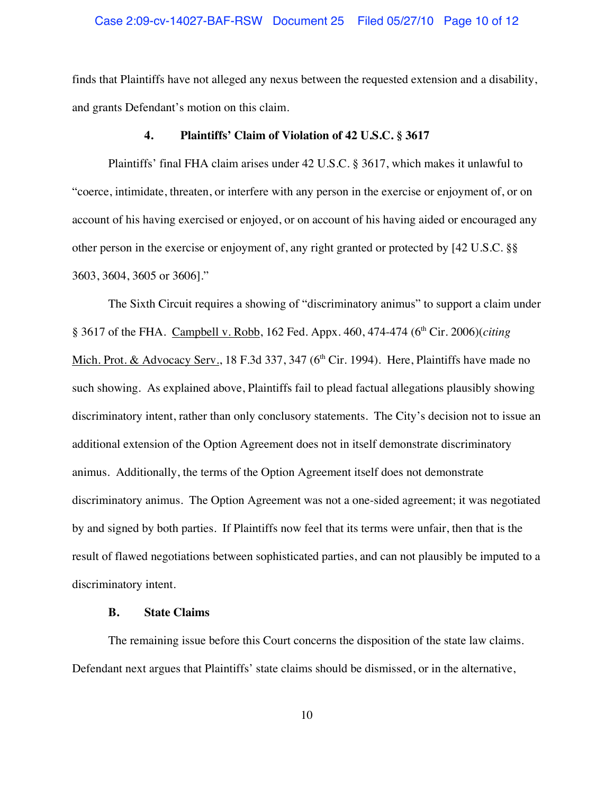### Case 2:09-cv-14027-BAF-RSW Document 25 Filed 05/27/10 Page 10 of 12

finds that Plaintiffs have not alleged any nexus between the requested extension and a disability, and grants Defendant's motion on this claim.

#### **4. Plaintiffs' Claim of Violation of 42 U.S.C. § 3617**

Plaintiffs' final FHA claim arises under 42 U.S.C. § 3617, which makes it unlawful to "coerce, intimidate, threaten, or interfere with any person in the exercise or enjoyment of, or on account of his having exercised or enjoyed, or on account of his having aided or encouraged any other person in the exercise or enjoyment of, any right granted or protected by [42 U.S.C. §§ 3603, 3604, 3605 or 3606]."

The Sixth Circuit requires a showing of "discriminatory animus" to support a claim under § 3617 of the FHA. Campbell v. Robb, 162 Fed. Appx. 460, 474-474 (6<sup>th</sup> Cir. 2006)(*citing* Mich. Prot. & Advocacy Serv., 18 F.3d 337, 347 ( $6<sup>th</sup>$  Cir. 1994). Here, Plaintiffs have made no such showing. As explained above, Plaintiffs fail to plead factual allegations plausibly showing discriminatory intent, rather than only conclusory statements. The City's decision not to issue an additional extension of the Option Agreement does not in itself demonstrate discriminatory animus. Additionally, the terms of the Option Agreement itself does not demonstrate discriminatory animus. The Option Agreement was not a one-sided agreement; it was negotiated by and signed by both parties. If Plaintiffs now feel that its terms were unfair, then that is the result of flawed negotiations between sophisticated parties, and can not plausibly be imputed to a discriminatory intent.

### **B. State Claims**

The remaining issue before this Court concerns the disposition of the state law claims. Defendant next argues that Plaintiffs' state claims should be dismissed, or in the alternative,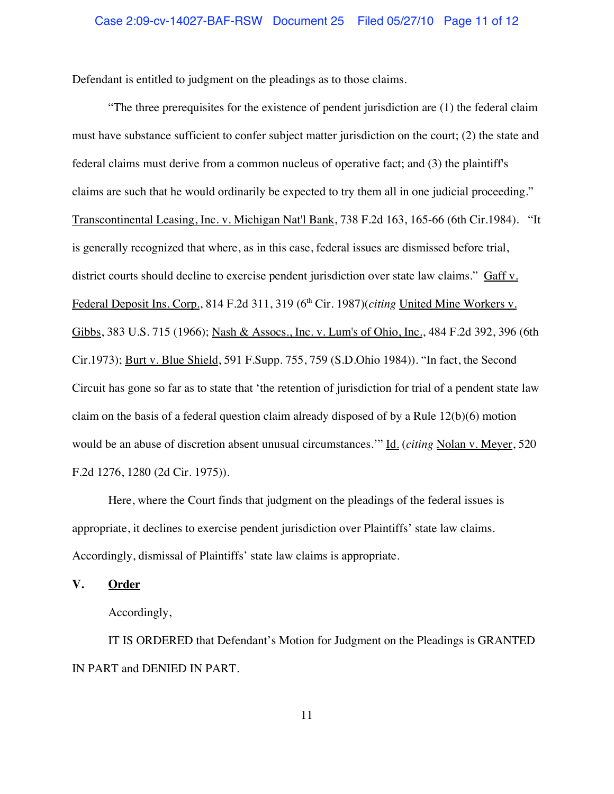Defendant is entitled to judgment on the pleadings as to those claims.

"The three prerequisites for the existence of pendent jurisdiction are (1) the federal claim must have substance sufficient to confer subject matter jurisdiction on the court; (2) the state and federal claims must derive from a common nucleus of operative fact; and (3) the plaintiff's claims are such that he would ordinarily be expected to try them all in one judicial proceeding." Transcontinental Leasing, Inc. v. Michigan Nat'l Bank, 738 F.2d 163, 165-66 (6th Cir.1984). "It is generally recognized that where, as in this case, federal issues are dismissed before trial, district courts should decline to exercise pendent jurisdiction over state law claims." Gaff v. Federal Deposit Ins. Corp., 814 F.2d 311, 319 (6<sup>th</sup> Cir. 1987)(*citing* United Mine Workers v. Gibbs, 383 U.S. 715 (1966); Nash & Assocs., Inc. v. Lum's of Ohio, Inc., 484 F.2d 392, 396 (6th Cir.1973); Burt v. Blue Shield, 591 F.Supp. 755, 759 (S.D.Ohio 1984)). "In fact, the Second Circuit has gone so far as to state that 'the retention of jurisdiction for trial of a pendent state law claim on the basis of a federal question claim already disposed of by a Rule 12(b)(6) motion would be an abuse of discretion absent unusual circumstances.'" Id. (*citing* Nolan v. Meyer, 520 F.2d 1276, 1280 (2d Cir. 1975)).

Here, where the Court finds that judgment on the pleadings of the federal issues is appropriate, it declines to exercise pendent jurisdiction over Plaintiffs' state law claims. Accordingly, dismissal of Plaintiffs' state law claims is appropriate.

**V. Order**

Accordingly,

IT IS ORDERED that Defendant's Motion for Judgment on the Pleadings is GRANTED IN PART and DENIED IN PART.